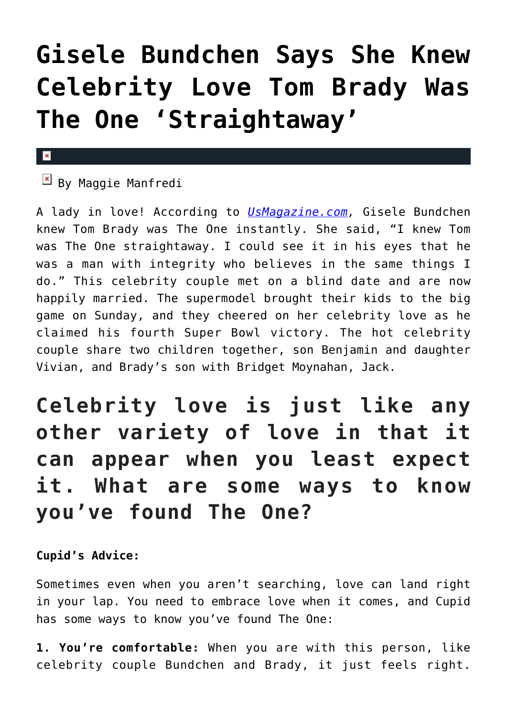# **[Gisele Bundchen Says She Knew](https://cupidspulse.com/86144/gisele-bundchen-says-she-knew-celebrity-love-tom-brady-was-the-one-straightaway/) [Celebrity Love Tom Brady Was](https://cupidspulse.com/86144/gisele-bundchen-says-she-knew-celebrity-love-tom-brady-was-the-one-straightaway/) [The One 'Straightaway'](https://cupidspulse.com/86144/gisele-bundchen-says-she-knew-celebrity-love-tom-brady-was-the-one-straightaway/)**

#### $\mathbf{x}$

## $\overline{\mathbb{F}}$  By Maggie Manfredi

A lady in love! According to *[UsMagazine.com,](http://www.usmagazine.com/celebrity-news/news/gisele-bundchen-knew-tom-brady-was-the-one-straightaway-201522)* Gisele Bundchen knew Tom Brady was The One instantly. She said, "I knew Tom was The One straightaway. I could see it in his eyes that he was a man with integrity who believes in the same things I do." This celebrity couple met on a blind date and are now happily married. The supermodel brought their kids to the big game on Sunday, and they cheered on her celebrity love as he claimed his fourth Super Bowl victory. The hot celebrity couple share two children together, son Benjamin and daughter Vivian, and Brady's son with Bridget Moynahan, Jack.

# **Celebrity love is just like any other variety of love in that it can appear when you least expect it. What are some ways to know you've found The One?**

### **Cupid's Advice:**

Sometimes even when you aren't searching, love can land right in your lap. You need to embrace love when it comes, and Cupid has some ways to know you've found The One:

**1. You're comfortable:** When you are with this person, like celebrity couple Bundchen and Brady, it just feels right.